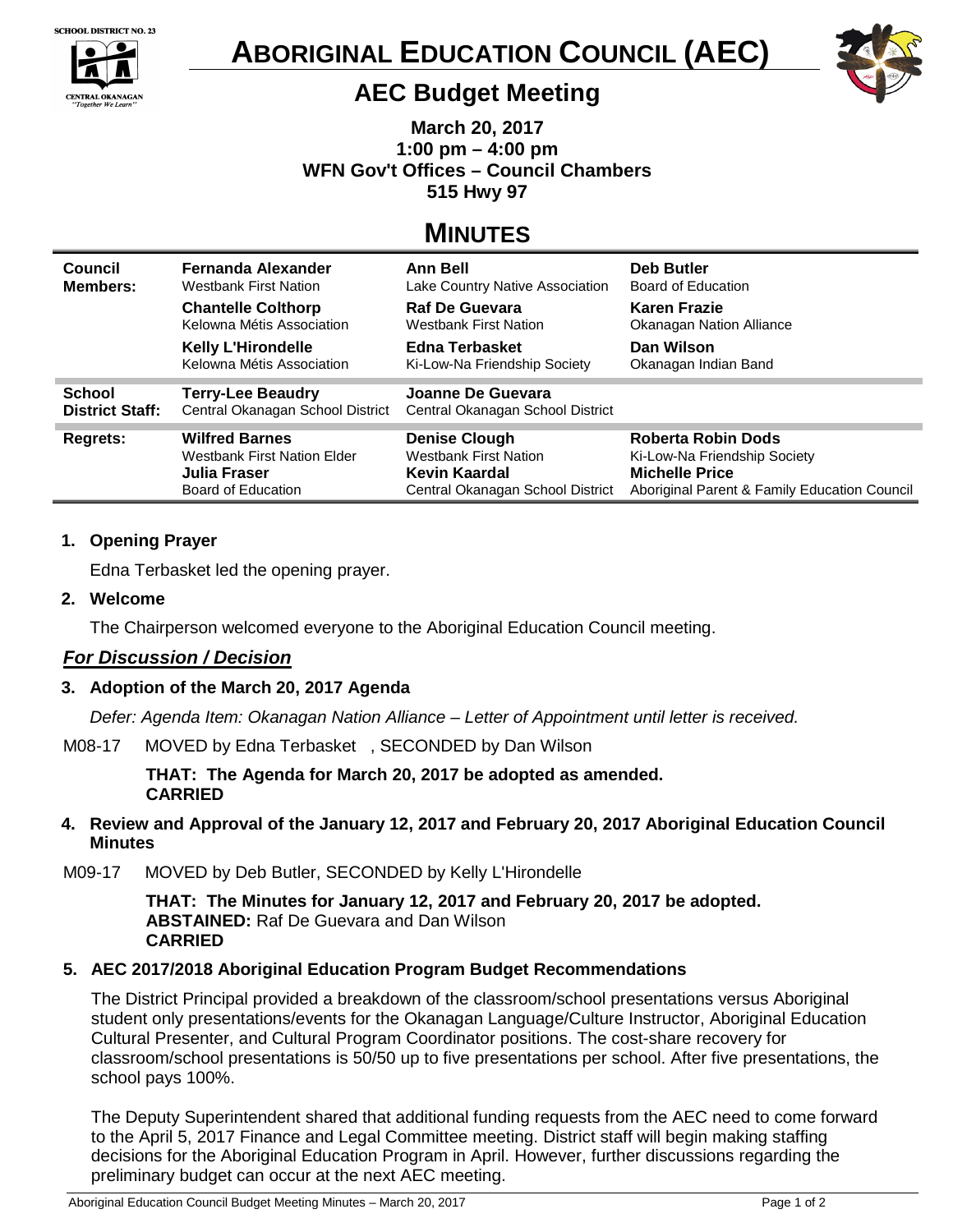

**CENTRAL OKANAGAN** 

 $\blacktriangle$ 





# **AEC Budget Meeting**

**March 20, 2017 1:00 pm – 4:00 pm WFN Gov't Offices – Council Chambers 515 Hwy 97**

# **MINUTES**

| Council<br><b>Members:</b> | Fernanda Alexander<br>Westbank First Nation            | <b>Ann Bell</b><br>Lake Country Native Association | Deb Butler<br>Board of Education                |
|----------------------------|--------------------------------------------------------|----------------------------------------------------|-------------------------------------------------|
|                            | <b>Chantelle Colthorp</b><br>Kelowna Métis Association | <b>Raf De Guevara</b><br>Westbank First Nation     | <b>Karen Frazie</b><br>Okanagan Nation Alliance |
|                            | <b>Kelly L'Hirondelle</b><br>Kelowna Métis Association | Edna Terbasket<br>Ki-Low-Na Friendship Society     | Dan Wilson<br>Okanagan Indian Band              |
| <b>School</b>              | <b>Terry-Lee Beaudry</b>                               | Joanne De Guevara                                  |                                                 |
| <b>District Staff:</b>     | Central Okanagan School District                       | Central Okanagan School District                   |                                                 |
| <b>Regrets:</b>            | <b>Wilfred Barnes</b>                                  | <b>Denise Clough</b>                               | Roberta Robin Dods                              |
|                            | Westbank First Nation Elder                            | <b>Westbank First Nation</b>                       | Ki-Low-Na Friendship Society                    |
|                            | Julia Fraser                                           | Kevin Kaardal                                      | <b>Michelle Price</b>                           |
|                            | Board of Education                                     | Central Okanagan School District                   | Aboriginal Parent & Family Education Council    |

### **1. Opening Prayer**

Edna Terbasket led the opening prayer.

### **2. Welcome**

The Chairperson welcomed everyone to the Aboriginal Education Council meeting.

## *For Discussion / Decision*

## **3. Adoption of the March 20, 2017 Agenda**

*Defer: Agenda Item: Okanagan Nation Alliance – Letter of Appointment until letter is received.*

M08-17MOVED by Edna Terbasket , SECONDED by Dan Wilson

**THAT: The Agenda for March 20, 2017 be adopted as amended. CARRIED**

- **4. Review and Approval of the January 12, 2017 and February 20, 2017 Aboriginal Education Council Minutes**
- M09-17MOVED by Deb Butler, SECONDED by Kelly L'Hirondelle

**THAT: The Minutes for January 12, 2017 and February 20, 2017 be adopted. ABSTAINED:** Raf De Guevara and Dan Wilson **CARRIED**

## **5. AEC 2017/2018 Aboriginal Education Program Budget Recommendations**

The District Principal provided a breakdown of the classroom/school presentations versus Aboriginal student only presentations/events for the Okanagan Language/Culture Instructor, Aboriginal Education Cultural Presenter, and Cultural Program Coordinator positions. The cost-share recovery for classroom/school presentations is 50/50 up to five presentations per school. After five presentations, the school pays 100%.

The Deputy Superintendent shared that additional funding requests from the AEC need to come forward to the April 5, 2017 Finance and Legal Committee meeting. District staff will begin making staffing decisions for the Aboriginal Education Program in April. However, further discussions regarding the preliminary budget can occur at the next AEC meeting.